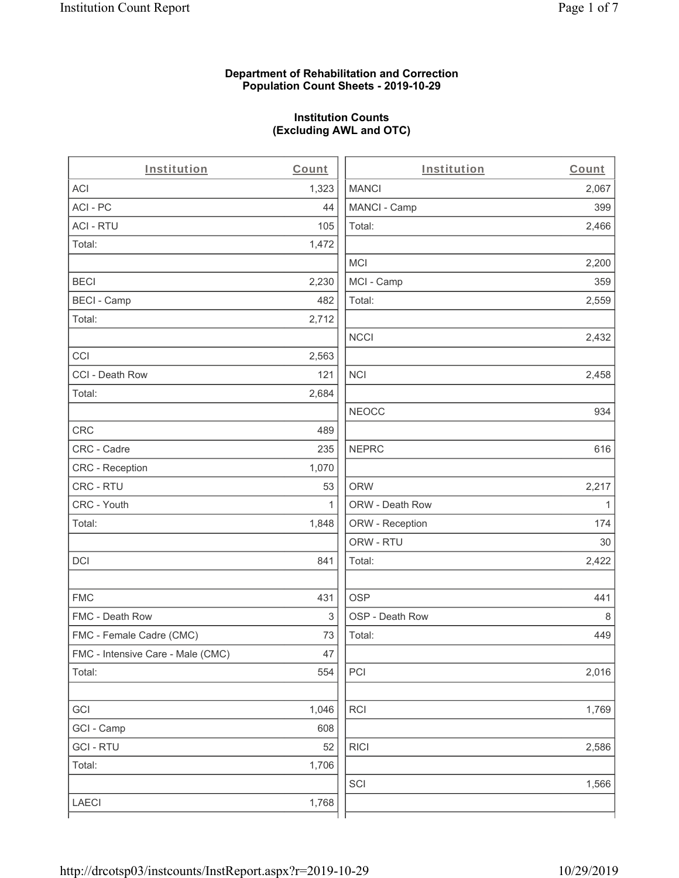### **Department of Rehabilitation and Correction Population Count Sheets - 2019-10-29**

# **Institution Counts (Excluding AWL and OTC)**

. .

| Institution                       | Count | Institution     | Count        |
|-----------------------------------|-------|-----------------|--------------|
| ACI                               | 1,323 | <b>MANCI</b>    | 2,067        |
| ACI - PC                          | 44    | MANCI - Camp    | 399          |
| <b>ACI - RTU</b>                  | 105   | Total:          | 2,466        |
| Total:                            | 1,472 |                 |              |
|                                   |       | <b>MCI</b>      | 2,200        |
| <b>BECI</b>                       | 2,230 | MCI - Camp      | 359          |
| <b>BECI - Camp</b>                | 482   | Total:          | 2,559        |
| Total:                            | 2,712 |                 |              |
|                                   |       | <b>NCCI</b>     | 2,432        |
| CCI                               | 2,563 |                 |              |
| CCI - Death Row                   | 121   | <b>NCI</b>      | 2,458        |
| Total:                            | 2,684 |                 |              |
|                                   |       | <b>NEOCC</b>    | 934          |
| <b>CRC</b>                        | 489   |                 |              |
| CRC - Cadre                       | 235   | <b>NEPRC</b>    | 616          |
| CRC - Reception                   | 1,070 |                 |              |
| CRC - RTU                         | 53    | <b>ORW</b>      | 2,217        |
| CRC - Youth                       | 1     | ORW - Death Row | $\mathbf{1}$ |
| Total:                            | 1,848 | ORW - Reception | 174          |
|                                   |       | ORW - RTU       | 30           |
| DCI                               | 841   | Total:          | 2,422        |
| <b>FMC</b>                        | 431   | <b>OSP</b>      | 441          |
| FMC - Death Row                   | 3     | OSP - Death Row | 8            |
| FMC - Female Cadre (CMC)          | 73    | Total:          | 449          |
| FMC - Intensive Care - Male (CMC) | 47    |                 |              |
| Total:                            | 554   | PCI             | 2,016        |
| GCI                               | 1,046 | <b>RCI</b>      | 1,769        |
| GCI - Camp                        | 608   |                 |              |
| <b>GCI - RTU</b>                  | 52    | <b>RICI</b>     | 2,586        |
| Total:                            | 1,706 |                 |              |
|                                   |       | SCI             | 1,566        |
| LAECI                             | 1,768 |                 |              |
|                                   |       |                 |              |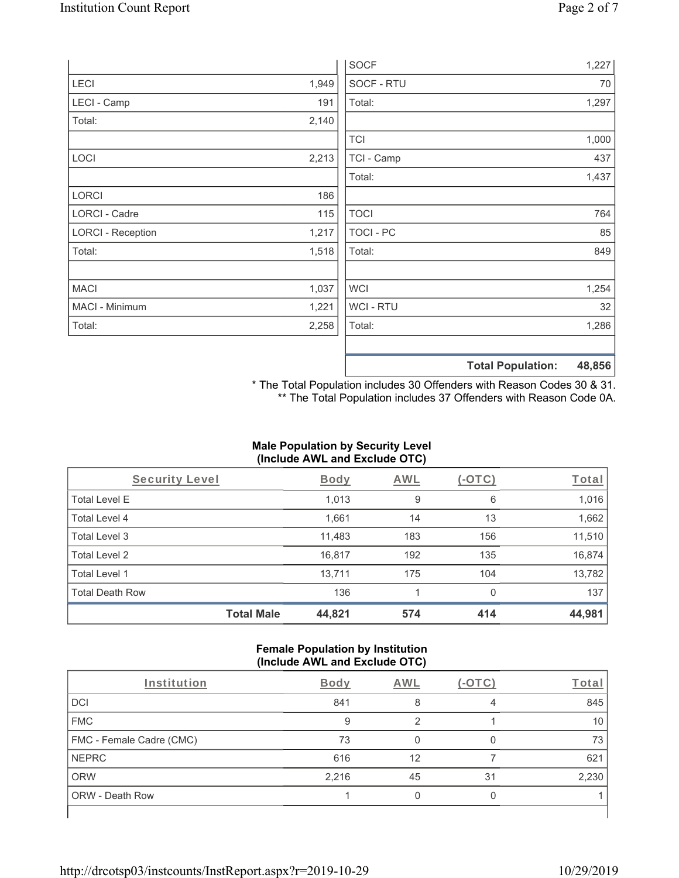|                          |       | <b>SOCF</b>      | 1,227                              |
|--------------------------|-------|------------------|------------------------------------|
| <b>LECI</b>              | 1,949 | SOCF - RTU       | 70                                 |
| LECI - Camp              | 191   | Total:           | 1,297                              |
| Total:                   | 2,140 |                  |                                    |
|                          |       | <b>TCI</b>       | 1,000                              |
| LOCI                     | 2,213 | TCI - Camp       | 437                                |
|                          |       | Total:           | 1,437                              |
| LORCI                    | 186   |                  |                                    |
| LORCI - Cadre            | 115   | <b>TOCI</b>      | 764                                |
| <b>LORCI - Reception</b> | 1,217 | <b>TOCI - PC</b> | 85                                 |
| Total:                   | 1,518 | Total:           | 849                                |
| <b>MACI</b>              | 1,037 | <b>WCI</b>       | 1,254                              |
| MACI - Minimum           | 1,221 | WCI - RTU        | 32                                 |
| Total:                   | 2,258 | Total:           | 1,286                              |
|                          |       |                  | <b>Total Population:</b><br>48,856 |

\* The Total Population includes 30 Offenders with Reason Codes 30 & 31. \*\* The Total Population includes 37 Offenders with Reason Code 0A.

# **Male Population by Security Level (Include AWL and Exclude OTC)**

| Security Level         |                   | <b>Body</b> | AWL | (-OTC) | Total  |
|------------------------|-------------------|-------------|-----|--------|--------|
| <b>Total Level E</b>   |                   | 1,013       | 9   | 6      | 1,016  |
| Total Level 4          |                   | 1,661       | 14  | 13     | 1,662  |
| Total Level 3          |                   | 11,483      | 183 | 156    | 11,510 |
| Total Level 2          |                   | 16,817      | 192 | 135    | 16,874 |
| Total Level 1          |                   | 13,711      | 175 | 104    | 13,782 |
| <b>Total Death Row</b> |                   | 136         |     | 0      | 137    |
|                        | <b>Total Male</b> | 44,821      | 574 | 414    | 44,981 |

#### **Female Population by Institution (Include AWL and Exclude OTC)**

| Institution              | <b>Body</b> | <b>AWL</b> | $-1$ | Total |
|--------------------------|-------------|------------|------|-------|
| <b>DCI</b>               | 841         | 8          | 4    | 845   |
| <b>FMC</b>               | 9           |            |      | 10    |
| FMC - Female Cadre (CMC) | 73          |            |      | 73    |
| <b>NEPRC</b>             | 616         | 12         |      | 621   |
| <b>ORW</b>               | 2,216       | 45         | 31   | 2,230 |
| <b>ORW - Death Row</b>   |             |            |      |       |
|                          |             |            |      |       |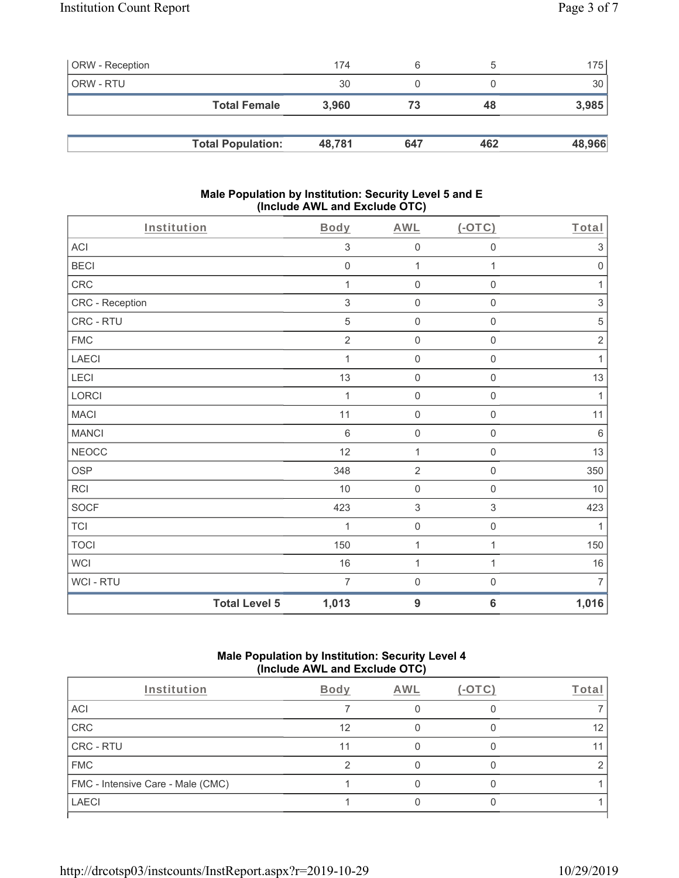| <b>ORW</b> - Reception |                          | 174    | 6   |     | 175    |
|------------------------|--------------------------|--------|-----|-----|--------|
| ORW - RTU              |                          | 30     |     |     | 30     |
|                        | <b>Total Female</b>      | 3.960  | 73  | 48  | 3,985  |
|                        |                          |        |     |     |        |
|                        | <b>Total Population:</b> | 48,781 | 647 | 462 | 48,966 |

#### **Male Population by Institution: Security Level 5 and E (Include AWL and Exclude OTC)**

| <b>WCI</b><br>WCI - RTU | $16$<br>$\overline{7}$ | $\mathbf{1}$<br>$\boldsymbol{0}$ | 1<br>$\mathsf{O}\xspace$  | $16\,$<br>$\overline{7}$ |
|-------------------------|------------------------|----------------------------------|---------------------------|--------------------------|
| <b>TOCI</b>             | 150                    | $\mathbf 1$                      | $\mathbf{1}$              | 150                      |
| <b>TCI</b>              | 1                      | $\mathbf 0$                      | $\mathsf 0$               | $\mathbf{1}$             |
| <b>SOCF</b>             | 423                    | $\ensuremath{\mathsf{3}}$        | $\ensuremath{\mathsf{3}}$ | 423                      |
| <b>RCI</b>              | 10                     | $\mathbf 0$                      | $\mathsf 0$               | $10$                     |
| <b>OSP</b>              | 348                    | $\overline{2}$                   | $\mathsf{O}\xspace$       | 350                      |
| <b>NEOCC</b>            | 12                     | 1                                | $\mathsf 0$               | 13                       |
| <b>MANCI</b>            | $\,6\,$                | $\mathbf 0$                      | $\mathsf 0$               | $\,6$                    |
| MACI                    | 11                     | $\mathbf 0$                      | $\mathsf 0$               | 11                       |
| LORCI                   | 1                      | $\mathbf 0$                      | $\mathsf 0$               | 1                        |
| LECI                    | 13                     | $\mathbf 0$                      | $\mathbf 0$               | 13                       |
| LAECI                   | 1                      | $\mathbf 0$                      | $\mathsf 0$               | 1                        |
| <b>FMC</b>              | $\sqrt{2}$             | $\mathbf 0$                      | $\mathsf 0$               | $\sqrt{2}$               |
| CRC - RTU               | 5                      | $\mathbf 0$                      | $\mathsf{O}\xspace$       | $\,$ 5 $\,$              |
| CRC - Reception         | $\mathfrak{S}$         | $\mathbf 0$                      | $\mathsf{O}\xspace$       | $\sqrt{3}$               |
| CRC                     | 1                      | $\mathbf 0$                      | $\mathsf{O}\xspace$       | 1                        |
| <b>BECI</b>             | $\mathbf 0$            | 1                                | 1                         | $\mathbf 0$              |
| <b>ACI</b>              | 3                      | $\mathbf 0$                      | $\mathsf{O}\xspace$       | $\sqrt{3}$               |
| Institution             | Body                   | <b>AWL</b>                       | $($ -OTC $)$              | Total                    |

### **Male Population by Institution: Security Level 4 (Include AWL and Exclude OTC)**

| Institution                       | Body | AWL | TС | Total |
|-----------------------------------|------|-----|----|-------|
| ACI                               |      |     |    |       |
| CRC                               | 12   |     |    | 12    |
| CRC - RTU                         | 44   |     |    | 11    |
| <b>FMC</b>                        |      |     |    |       |
| FMC - Intensive Care - Male (CMC) |      |     |    |       |
| <b>LAECI</b>                      |      |     |    |       |
|                                   |      |     |    |       |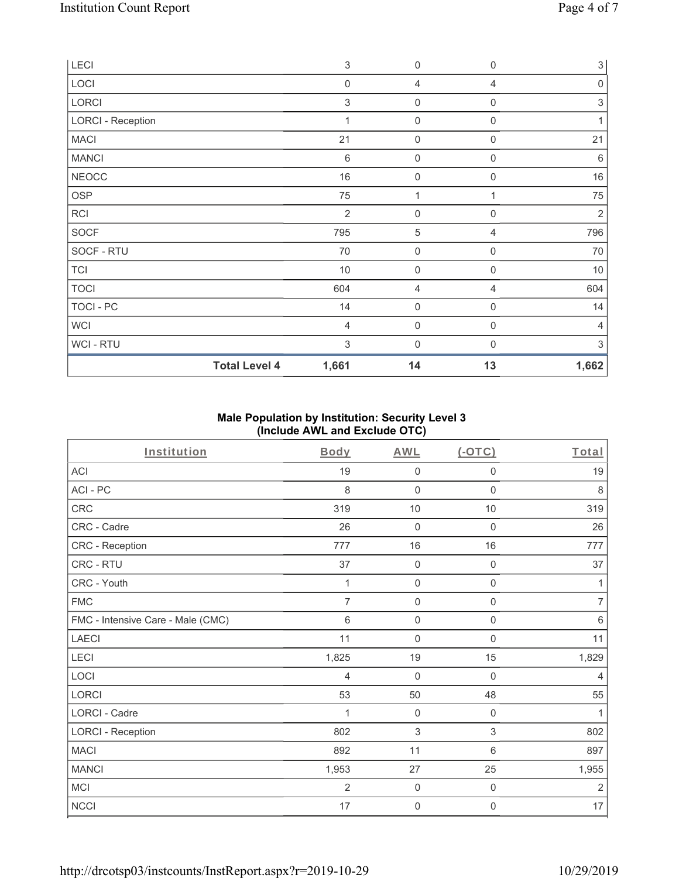| LECI                     | $\,$ 3 $\,$    | $\mathsf{O}\xspace$ | $\overline{0}$   | $\sqrt{3}$     |
|--------------------------|----------------|---------------------|------------------|----------------|
| LOCI                     | $\mathbf 0$    | 4                   | $\overline{4}$   | $\mathbf 0$    |
| LORCI                    | $\mathfrak{S}$ | $\boldsymbol{0}$    | $\mathbf 0$      | $\,$ 3 $\,$    |
| <b>LORCI - Reception</b> | 1              | $\boldsymbol{0}$    | $\mathbf 0$      | 1              |
| <b>MACI</b>              | 21             | $\mathsf{O}\xspace$ | $\mathbf 0$      | 21             |
| <b>MANCI</b>             | 6              | $\mathsf{O}\xspace$ | $\boldsymbol{0}$ | $\,6\,$        |
| <b>NEOCC</b>             | 16             | $\mathbf 0$         | $\mathbf 0$      | 16             |
| OSP                      | 75             | $\overline{1}$      | 1                | 75             |
| <b>RCI</b>               | $\overline{2}$ | $\boldsymbol{0}$    | $\mathbf 0$      | $\overline{2}$ |
| <b>SOCF</b>              | 795            | $\mathbf 5$         | 4                | 796            |
| SOCF - RTU               | 70             | $\boldsymbol{0}$    | $\mathbf 0$      | 70             |
| <b>TCI</b>               | $10$           | $\mathsf{O}\xspace$ | $\mathbf 0$      | $10$           |
| <b>TOCI</b>              | 604            | 4                   | 4                | 604            |
| TOCI - PC                | 14             | $\mathsf{O}\xspace$ | $\mathbf 0$      | 14             |
| <b>WCI</b>               | $\overline{4}$ | $\mathsf{O}\xspace$ | $\mathbf 0$      | 4              |
| <b>WCI-RTU</b>           | 3              | $\mathbf{0}$        | $\Omega$         | 3              |
| <b>Total Level 4</b>     | 1,661          | 14                  | 13               | 1,662          |

### **Male Population by Institution: Security Level 3 (Include AWL and Exclude OTC)**

| Institution                       | <b>Body</b>     | <b>AWL</b>          | (OTC)       | Total          |
|-----------------------------------|-----------------|---------------------|-------------|----------------|
| ACI                               | 19              | $\mathsf{O}\xspace$ | $\mathbf 0$ | 19             |
| ACI-PC                            | 8               | $\mathbf 0$         | $\mathbf 0$ | 8              |
| CRC                               | 319             | $10$                | $10$        | 319            |
| CRC - Cadre                       | 26              | $\mathsf{O}\xspace$ | 0           | 26             |
| CRC - Reception                   | 777             | 16                  | 16          | 777            |
| CRC - RTU                         | 37              | 0                   | 0           | 37             |
| CRC - Youth                       | 1               | $\mathbf 0$         | $\mathsf 0$ | $\mathbf{1}$   |
| <b>FMC</b>                        | 7               | $\mathbf 0$         | $\mathbf 0$ | 7              |
| FMC - Intensive Care - Male (CMC) | $6\phantom{1}6$ | $\mathsf{O}\xspace$ | $\mathbf 0$ | 6              |
| <b>LAECI</b>                      | 11              | $\mathsf{O}\xspace$ | $\mathsf 0$ | 11             |
| LECI                              | 1,825           | 19                  | 15          | 1,829          |
| LOCI                              | 4               | 0                   | 0           | 4              |
| LORCI                             | 53              | 50                  | 48          | 55             |
| LORCI - Cadre                     | 1               | $\mathbf 0$         | $\mathbf 0$ | 1              |
| <b>LORCI - Reception</b>          | 802             | $\mathfrak{S}$      | 3           | 802            |
| <b>MACI</b>                       | 892             | 11                  | 6           | 897            |
| <b>MANCI</b>                      | 1,953           | 27                  | 25          | 1,955          |
| <b>MCI</b>                        | $\overline{2}$  | $\boldsymbol{0}$    | 0           | $\overline{2}$ |
| <b>NCCI</b>                       | 17              | $\overline{0}$      | $\mathbf 0$ | 17             |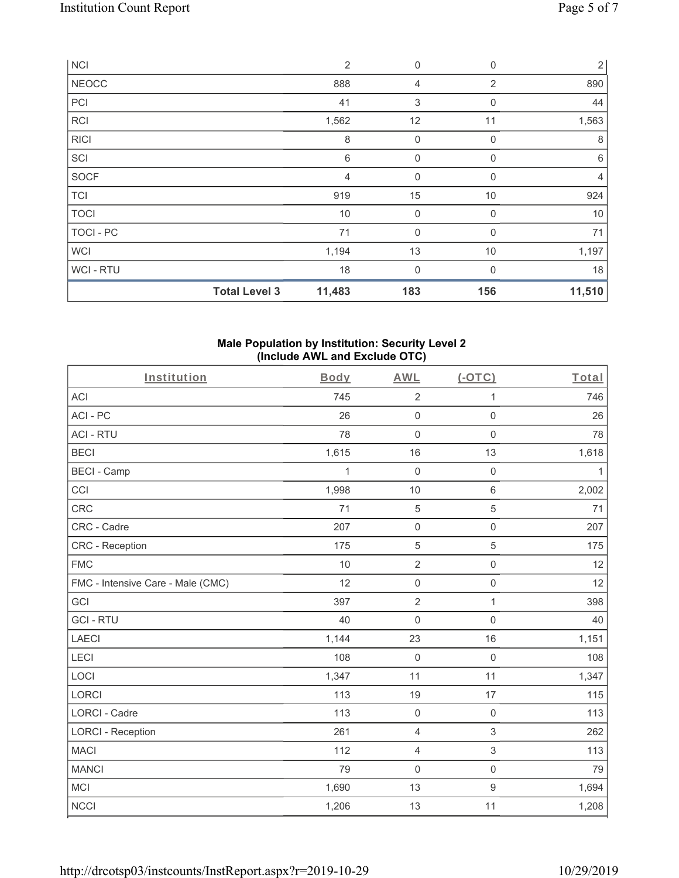| <b>NCI</b>   |                      | $\overline{2}$ | $\mathbf 0$    | $\mathbf 0$    | $\overline{2}$ |
|--------------|----------------------|----------------|----------------|----------------|----------------|
| <b>NEOCC</b> |                      | 888            | 4              | $\overline{2}$ | 890            |
| PCI          |                      | 41             | 3              | $\mathbf 0$    | 44             |
| RCI          |                      | 1,562          | 12             | 11             | 1,563          |
| <b>RICI</b>  |                      | 8              | $\mathbf 0$    | $\mathbf 0$    | 8              |
| SCI          |                      | 6              | 0              | 0              | 6              |
| SOCF         |                      | 4              | $\mathbf 0$    | $\mathbf 0$    | $\overline{4}$ |
| <b>TCI</b>   |                      | 919            | 15             | 10             | 924            |
| <b>TOCI</b>  |                      | 10             | 0              | 0              | 10             |
| TOCI - PC    |                      | 71             | $\mathbf 0$    | $\Omega$       | 71             |
| <b>WCI</b>   |                      | 1,194          | 13             | 10             | 1,197          |
| WCI-RTU      |                      | 18             | $\overline{0}$ | $\Omega$       | 18             |
|              | <b>Total Level 3</b> | 11,483         | 183            | 156            | 11,510         |

#### **Male Population by Institution: Security Level 2 (Include AWL and Exclude OTC)**

| Institution                       | <b>Body</b> | <b>AWL</b>          | (OTC)               | Total        |
|-----------------------------------|-------------|---------------------|---------------------|--------------|
| <b>ACI</b>                        | 745         | $\sqrt{2}$          | 1                   | 746          |
| ACI-PC                            | 26          | $\mathsf{O}\xspace$ | $\mathsf{O}\xspace$ | 26           |
| <b>ACI - RTU</b>                  | 78          | $\mathsf 0$         | $\mathbf 0$         | 78           |
| <b>BECI</b>                       | 1,615       | 16                  | 13                  | 1,618        |
| <b>BECI - Camp</b>                | 1           | $\mathbf 0$         | $\mathsf 0$         | $\mathbf{1}$ |
| CCI                               | 1,998       | 10                  | $\,6\,$             | 2,002        |
| CRC                               | 71          | $\sqrt{5}$          | 5                   | 71           |
| CRC - Cadre                       | 207         | $\mathsf 0$         | $\mathsf{O}\xspace$ | 207          |
| CRC - Reception                   | 175         | $\sqrt{5}$          | 5                   | 175          |
| <b>FMC</b>                        | 10          | $\sqrt{2}$          | $\mathsf{O}\xspace$ | 12           |
| FMC - Intensive Care - Male (CMC) | 12          | $\mathsf 0$         | $\mathbf 0$         | 12           |
| GCI                               | 397         | $\sqrt{2}$          | 1                   | 398          |
| <b>GCI-RTU</b>                    | 40          | $\mathbf 0$         | $\mathbf 0$         | 40           |
| <b>LAECI</b>                      | 1,144       | 23                  | 16                  | 1,151        |
| LECI                              | 108         | $\mathbf 0$         | $\mathbf 0$         | 108          |
| LOCI                              | 1,347       | 11                  | 11                  | 1,347        |
| <b>LORCI</b>                      | 113         | 19                  | 17                  | 115          |
| LORCI - Cadre                     | 113         | $\mathsf{O}\xspace$ | $\mathsf{O}\xspace$ | 113          |
| <b>LORCI - Reception</b>          | 261         | $\overline{4}$      | 3                   | 262          |
| <b>MACI</b>                       | 112         | $\overline{4}$      | $\mathfrak{S}$      | 113          |
| <b>MANCI</b>                      | 79          | $\mathbf 0$         | $\mathsf{O}\xspace$ | 79           |
| <b>MCI</b>                        | 1,690       | 13                  | 9                   | 1,694        |
| <b>NCCI</b>                       | 1,206       | 13                  | 11                  | 1,208        |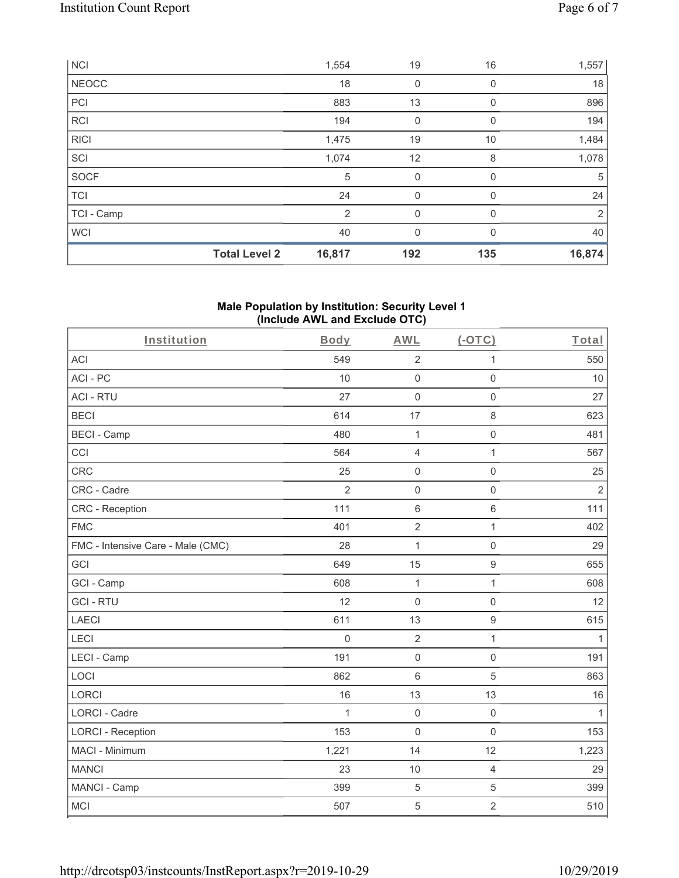|              | <b>Total Level 2</b> | 16,817 | 192         | 135          | 16,874 |
|--------------|----------------------|--------|-------------|--------------|--------|
| <b>WCI</b>   |                      | 40     | $\mathbf 0$ | $\Omega$     | 40     |
| TCI - Camp   |                      | 2      | $\mathbf 0$ | $\mathbf{0}$ | 2      |
| <b>TCI</b>   |                      | 24     | $\mathbf 0$ | 0            | 24     |
| SOCF         |                      | 5      | $\mathbf 0$ | 0            | 5      |
| SCI          |                      | 1,074  | 12          | 8            | 1,078  |
| <b>RICI</b>  |                      | 1,475  | 19          | 10           | 1,484  |
| <b>RCI</b>   |                      | 194    | 0           | 0            | 194    |
| PCI          |                      | 883    | 13          | 0            | 896    |
| <b>NEOCC</b> |                      | 18     | 0           | 0            | 18     |
| <b>NCI</b>   |                      | 1,554  | 19          | 16           | 1,557  |

### **Male Population by Institution: Security Level 1 (Include AWL and Exclude OTC)**

| Institution                       | Body           | <b>AWL</b>          | $(-OTC)$         | Total          |
|-----------------------------------|----------------|---------------------|------------------|----------------|
| <b>ACI</b>                        | 549            | $\overline{2}$      | 1                | 550            |
| ACI-PC                            | 10             | $\mathbf 0$         | $\mathbf 0$      | 10             |
| <b>ACI - RTU</b>                  | 27             | $\mathbf 0$         | $\mathbf 0$      | 27             |
| <b>BECI</b>                       | 614            | 17                  | $\,8\,$          | 623            |
| <b>BECI - Camp</b>                | 480            | $\mathbf{1}$        | $\mathbf 0$      | 481            |
| CCI                               | 564            | $\overline{4}$      | $\mathbf{1}$     | 567            |
| <b>CRC</b>                        | 25             | $\mathsf{O}\xspace$ | $\mathbf 0$      | 25             |
| CRC - Cadre                       | $\overline{2}$ | $\mathbf 0$         | $\mathbf 0$      | $\overline{2}$ |
| <b>CRC</b> - Reception            | 111            | $\,6\,$             | $\,6\,$          | 111            |
| <b>FMC</b>                        | 401            | $\overline{2}$      | $\mathbf{1}$     | 402            |
| FMC - Intensive Care - Male (CMC) | 28             | 1                   | $\mathbf 0$      | 29             |
| GCI                               | 649            | 15                  | $\boldsymbol{9}$ | 655            |
| GCI - Camp                        | 608            | 1                   | $\mathbf{1}$     | 608            |
| <b>GCI-RTU</b>                    | 12             | $\mathbf 0$         | $\mathbf 0$      | 12             |
| <b>LAECI</b>                      | 611            | 13                  | $\boldsymbol{9}$ | 615            |
| LECI                              | $\mathbf 0$    | $\overline{2}$      | $\mathbf{1}$     | $\mathbf{1}$   |
| LECI - Camp                       | 191            | $\mathbf 0$         | $\mathbf 0$      | 191            |
| LOCI                              | 862            | $\,6\,$             | $\overline{5}$   | 863            |
| <b>LORCI</b>                      | 16             | 13                  | 13               | 16             |
| <b>LORCI - Cadre</b>              | $\mathbf{1}$   | $\mathsf{O}\xspace$ | $\mathsf 0$      | 1              |
| <b>LORCI - Reception</b>          | 153            | $\mathbf 0$         | $\mathbf 0$      | 153            |
| MACI - Minimum                    | 1,221          | 14                  | 12               | 1,223          |
| <b>MANCI</b>                      | 23             | 10                  | $\overline{4}$   | 29             |
| MANCI - Camp                      | 399            | $\sqrt{5}$          | $\sqrt{5}$       | 399            |
| <b>MCI</b>                        | 507            | 5                   | $\overline{2}$   | 510            |